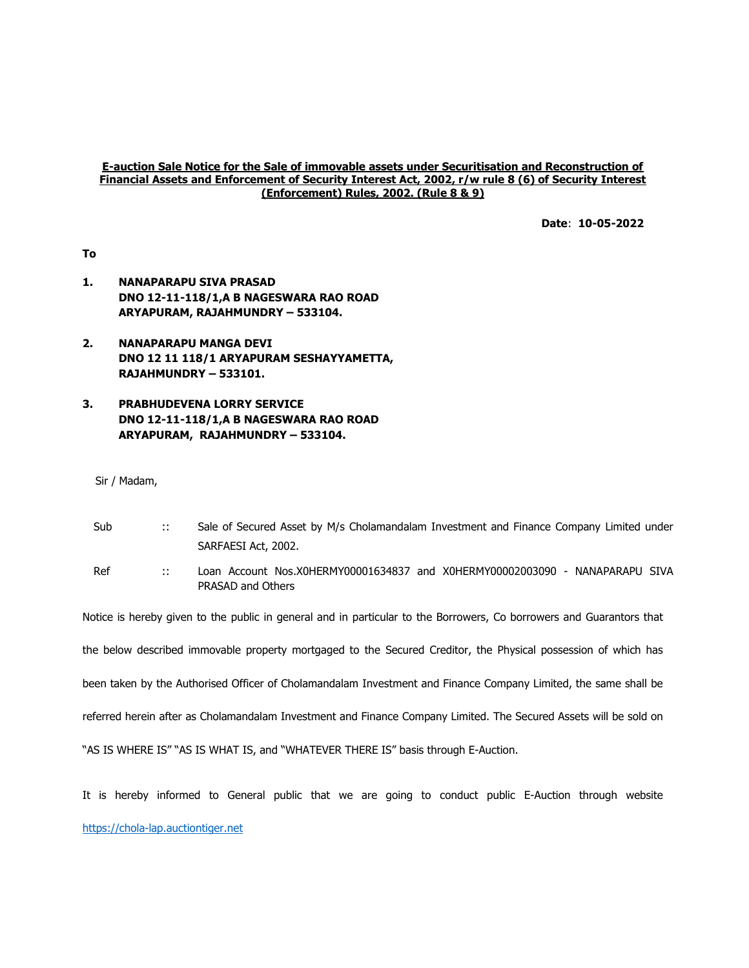#### E-auction Sale Notice for the Sale of immovable assets under Securitisation and Reconstruction of Financial Assets and Enforcement of Security Interest Act, 2002, r/w rule 8 (6) of Security Interest (Enforcement) Rules, 2002. (Rule 8 & 9)

Date: 10-05-2022

To

- 1. NANAPARAPU SIVA PRASAD DNO 12-11-118/1,A B NAGESWARA RAO ROAD ARYAPURAM, RAJAHMUNDRY – 533104.
- 2. NANAPARAPU MANGA DEVI DNO 12 11 118/1 ARYAPURAM SESHAYYAMETTA, RAJAHMUNDRY – 533101.

# 3. PRABHUDEVENA LORRY SERVICE DNO 12-11-118/1,A B NAGESWARA RAO ROAD ARYAPURAM, RAJAHMUNDRY – 533104.

Sir / Madam,

| Sub | Sale of Secured Asset by M/s Cholamandalam Investment and Finance Company Limited under |
|-----|-----------------------------------------------------------------------------------------|
|     | SARFAESI Act, 2002.                                                                     |

Ref :: Loan Account Nos.X0HERMY00001634837 and X0HERMY00002003090 - NANAPARAPU SIVA PRASAD and Others

Notice is hereby given to the public in general and in particular to the Borrowers, Co borrowers and Guarantors that

the below described immovable property mortgaged to the Secured Creditor, the Physical possession of which has

been taken by the Authorised Officer of Cholamandalam Investment and Finance Company Limited, the same shall be

referred herein after as Cholamandalam Investment and Finance Company Limited. The Secured Assets will be sold on

"AS IS WHERE IS" "AS IS WHAT IS, and "WHATEVER THERE IS" basis through E-Auction.

It is hereby informed to General public that we are going to conduct public E-Auction through website https://chola-lap.auctiontiger.net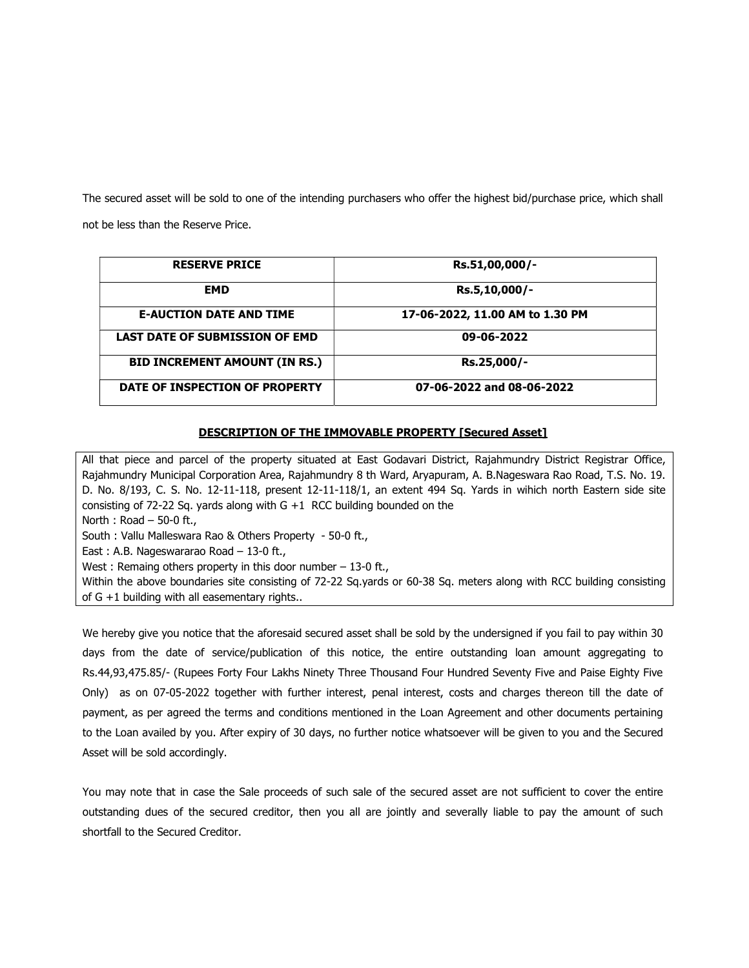The secured asset will be sold to one of the intending purchasers who offer the highest bid/purchase price, which shall not be less than the Reserve Price.

| <b>RESERVE PRICE</b>                  | Rs.51,00,000/-                  |  |
|---------------------------------------|---------------------------------|--|
| <b>EMD</b>                            | Rs.5,10,000/-                   |  |
| <b>E-AUCTION DATE AND TIME</b>        | 17-06-2022, 11.00 AM to 1.30 PM |  |
| <b>LAST DATE OF SUBMISSION OF EMD</b> | 09-06-2022                      |  |
| <b>BID INCREMENT AMOUNT (IN RS.)</b>  | Rs.25,000/-                     |  |
| DATE OF INSPECTION OF PROPERTY        | 07-06-2022 and 08-06-2022       |  |

## DESCRIPTION OF THE IMMOVABLE PROPERTY [Secured Asset]

All that piece and parcel of the property situated at East Godavari District, Rajahmundry District Registrar Office, Rajahmundry Municipal Corporation Area, Rajahmundry 8 th Ward, Aryapuram, A. B.Nageswara Rao Road, T.S. No. 19. D. No. 8/193, C. S. No. 12-11-118, present 12-11-118/1, an extent 494 Sq. Yards in wihich north Eastern side site consisting of 72-22 Sq. yards along with  $G + 1$  RCC building bounded on the North : Road – 50-0 ft., South : Vallu Malleswara Rao & Others Property - 50-0 ft., East : A.B. Nageswararao Road – 13-0 ft., West : Remaing others property in this door number - 13-0 ft., Within the above boundaries site consisting of 72-22 Sq.yards or 60-38 Sq. meters along with RCC building consisting of G +1 building with all easementary rights..

We hereby give you notice that the aforesaid secured asset shall be sold by the undersigned if you fail to pay within 30 days from the date of service/publication of this notice, the entire outstanding loan amount aggregating to Rs.44,93,475.85/- (Rupees Forty Four Lakhs Ninety Three Thousand Four Hundred Seventy Five and Paise Eighty Five Only) as on 07-05-2022 together with further interest, penal interest, costs and charges thereon till the date of payment, as per agreed the terms and conditions mentioned in the Loan Agreement and other documents pertaining to the Loan availed by you. After expiry of 30 days, no further notice whatsoever will be given to you and the Secured Asset will be sold accordingly.

You may note that in case the Sale proceeds of such sale of the secured asset are not sufficient to cover the entire outstanding dues of the secured creditor, then you all are jointly and severally liable to pay the amount of such shortfall to the Secured Creditor.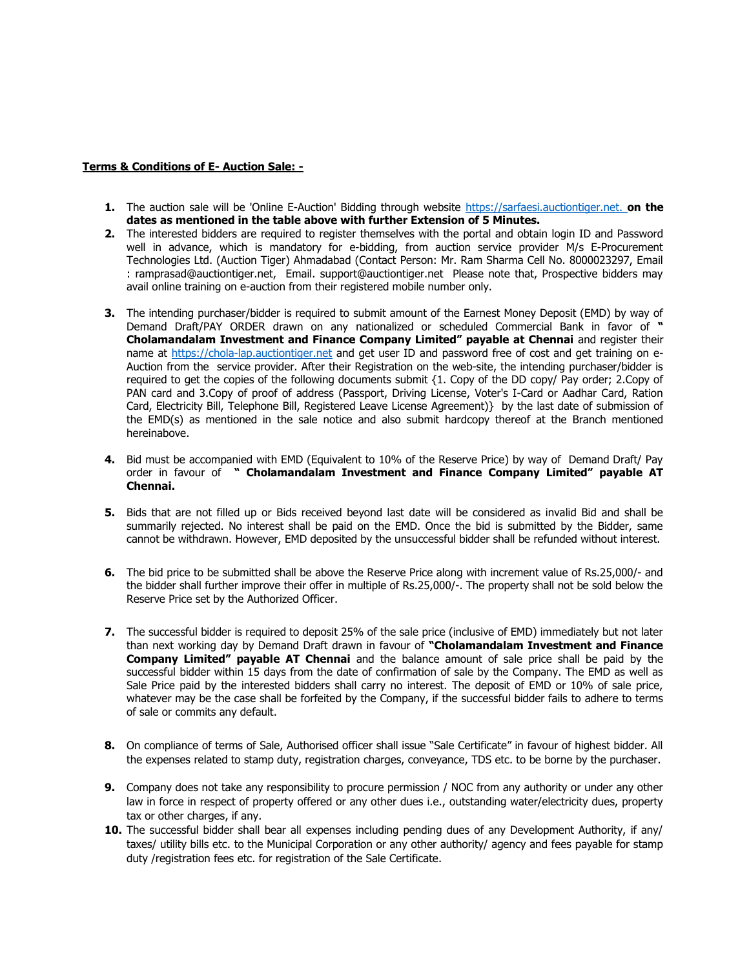### Terms & Conditions of E- Auction Sale: -

- 1. The auction sale will be 'Online E-Auction' Bidding through website https://sarfaesi.auctiontiger.net. on the dates as mentioned in the table above with further Extension of 5 Minutes.
- 2. The interested bidders are required to register themselves with the portal and obtain login ID and Password well in advance, which is mandatory for e-bidding, from auction service provider M/s E-Procurement Technologies Ltd. (Auction Tiger) Ahmadabad (Contact Person: Mr. Ram Sharma Cell No. 8000023297, Email : ramprasad@auctiontiger.net, Email. support@auctiontiger.net Please note that, Prospective bidders may avail online training on e-auction from their registered mobile number only.
- **3.** The intending purchaser/bidder is required to submit amount of the Earnest Money Deposit (EMD) by way of Demand Draft/PAY ORDER drawn on any nationalized or scheduled Commercial Bank in favor of " Cholamandalam Investment and Finance Company Limited" payable at Chennai and register their name at https://chola-lap.auctiontiger.net and get user ID and password free of cost and get training on e-Auction from the service provider. After their Registration on the web-site, the intending purchaser/bidder is required to get the copies of the following documents submit {1. Copy of the DD copy/ Pay order; 2.Copy of PAN card and 3.Copy of proof of address (Passport, Driving License, Voter's I-Card or Aadhar Card, Ration Card, Electricity Bill, Telephone Bill, Registered Leave License Agreement)} by the last date of submission of the EMD(s) as mentioned in the sale notice and also submit hardcopy thereof at the Branch mentioned hereinabove.
- 4. Bid must be accompanied with EMD (Equivalent to 10% of the Reserve Price) by way of Demand Draft/ Pay order in favour of " Cholamandalam Investment and Finance Company Limited" payable AT Chennai.
- 5. Bids that are not filled up or Bids received beyond last date will be considered as invalid Bid and shall be summarily rejected. No interest shall be paid on the EMD. Once the bid is submitted by the Bidder, same cannot be withdrawn. However, EMD deposited by the unsuccessful bidder shall be refunded without interest.
- 6. The bid price to be submitted shall be above the Reserve Price along with increment value of Rs.25,000/- and the bidder shall further improve their offer in multiple of Rs.25,000/-. The property shall not be sold below the Reserve Price set by the Authorized Officer.
- 7. The successful bidder is required to deposit 25% of the sale price (inclusive of EMD) immediately but not later than next working day by Demand Draft drawn in favour of "Cholamandalam Investment and Finance Company Limited" payable AT Chennai and the balance amount of sale price shall be paid by the successful bidder within 15 days from the date of confirmation of sale by the Company. The EMD as well as Sale Price paid by the interested bidders shall carry no interest. The deposit of EMD or 10% of sale price, whatever may be the case shall be forfeited by the Company, if the successful bidder fails to adhere to terms of sale or commits any default.
- 8. On compliance of terms of Sale, Authorised officer shall issue "Sale Certificate" in favour of highest bidder. All the expenses related to stamp duty, registration charges, conveyance, TDS etc. to be borne by the purchaser.
- 9. Company does not take any responsibility to procure permission / NOC from any authority or under any other law in force in respect of property offered or any other dues i.e., outstanding water/electricity dues, property tax or other charges, if any.
- 10. The successful bidder shall bear all expenses including pending dues of any Development Authority, if any/ taxes/ utility bills etc. to the Municipal Corporation or any other authority/ agency and fees payable for stamp duty /registration fees etc. for registration of the Sale Certificate.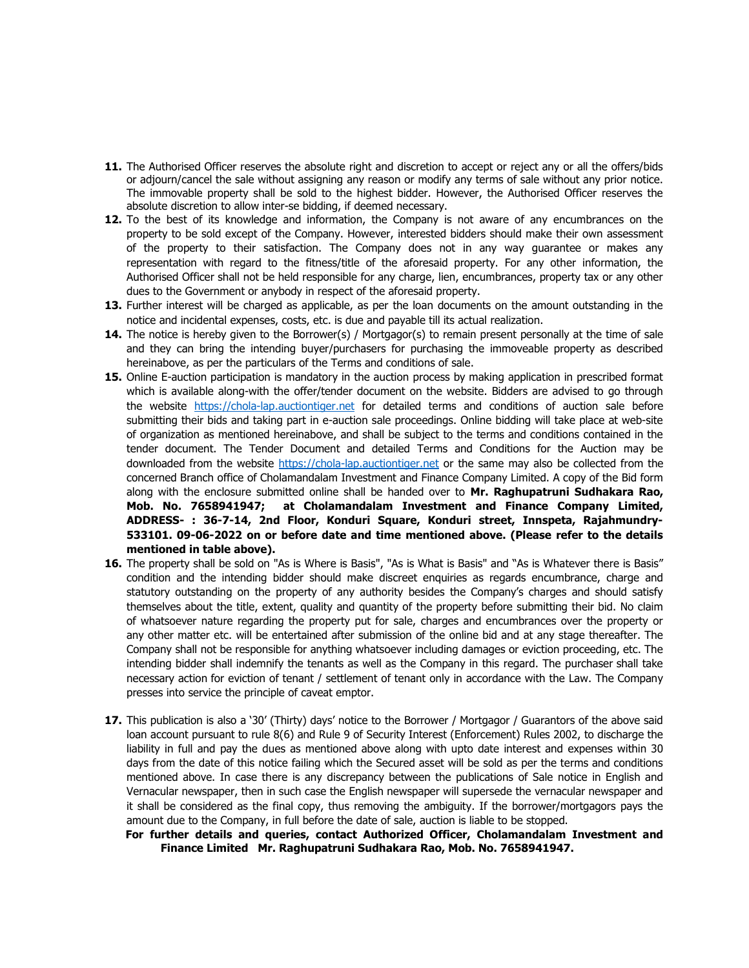- 11. The Authorised Officer reserves the absolute right and discretion to accept or reject any or all the offers/bids or adjourn/cancel the sale without assigning any reason or modify any terms of sale without any prior notice. The immovable property shall be sold to the highest bidder. However, the Authorised Officer reserves the absolute discretion to allow inter-se bidding, if deemed necessary.
- 12. To the best of its knowledge and information, the Company is not aware of any encumbrances on the property to be sold except of the Company. However, interested bidders should make their own assessment of the property to their satisfaction. The Company does not in any way guarantee or makes any representation with regard to the fitness/title of the aforesaid property. For any other information, the Authorised Officer shall not be held responsible for any charge, lien, encumbrances, property tax or any other dues to the Government or anybody in respect of the aforesaid property.
- 13. Further interest will be charged as applicable, as per the loan documents on the amount outstanding in the notice and incidental expenses, costs, etc. is due and payable till its actual realization.
- 14. The notice is hereby given to the Borrower(s) / Mortgagor(s) to remain present personally at the time of sale and they can bring the intending buyer/purchasers for purchasing the immoveable property as described hereinabove, as per the particulars of the Terms and conditions of sale.
- 15. Online E-auction participation is mandatory in the auction process by making application in prescribed format which is available along-with the offer/tender document on the website. Bidders are advised to go through the website https://chola-lap.auctiontiger.net for detailed terms and conditions of auction sale before submitting their bids and taking part in e-auction sale proceedings. Online bidding will take place at web-site of organization as mentioned hereinabove, and shall be subject to the terms and conditions contained in the tender document. The Tender Document and detailed Terms and Conditions for the Auction may be downloaded from the website https://chola-lap.auctiontiger.net or the same may also be collected from the concerned Branch office of Cholamandalam Investment and Finance Company Limited. A copy of the Bid form along with the enclosure submitted online shall be handed over to Mr. Raghupatruni Sudhakara Rao, Mob. No. 7658941947; at Cholamandalam Investment and Finance Company Limited, ADDRESS- : 36-7-14, 2nd Floor, Konduri Square, Konduri street, Innspeta, Rajahmundry-533101. 09-06-2022 on or before date and time mentioned above. (Please refer to the details mentioned in table above).
- 16. The property shall be sold on "As is Where is Basis", "As is What is Basis" and "As is Whatever there is Basis" condition and the intending bidder should make discreet enquiries as regards encumbrance, charge and statutory outstanding on the property of any authority besides the Company's charges and should satisfy themselves about the title, extent, quality and quantity of the property before submitting their bid. No claim of whatsoever nature regarding the property put for sale, charges and encumbrances over the property or any other matter etc. will be entertained after submission of the online bid and at any stage thereafter. The Company shall not be responsible for anything whatsoever including damages or eviction proceeding, etc. The intending bidder shall indemnify the tenants as well as the Company in this regard. The purchaser shall take necessary action for eviction of tenant / settlement of tenant only in accordance with the Law. The Company presses into service the principle of caveat emptor.
- 17. This publication is also a '30' (Thirty) days' notice to the Borrower / Mortgagor / Guarantors of the above said loan account pursuant to rule 8(6) and Rule 9 of Security Interest (Enforcement) Rules 2002, to discharge the liability in full and pay the dues as mentioned above along with upto date interest and expenses within 30 days from the date of this notice failing which the Secured asset will be sold as per the terms and conditions mentioned above. In case there is any discrepancy between the publications of Sale notice in English and Vernacular newspaper, then in such case the English newspaper will supersede the vernacular newspaper and it shall be considered as the final copy, thus removing the ambiguity. If the borrower/mortgagors pays the amount due to the Company, in full before the date of sale, auction is liable to be stopped.
	- For further details and queries, contact Authorized Officer, Cholamandalam Investment and Finance Limited Mr. Raghupatruni Sudhakara Rao, Mob. No. 7658941947.